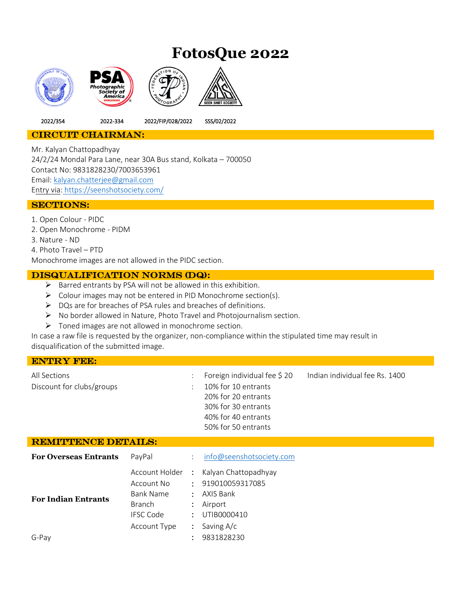# **FotosQue 2022**



2022/354 2022-334 2022/FIP/028/2022 SSS/02/2022

## CIRCUIT CHAIRMAN:

Mr. Kalyan Chattopadhyay 24/2/24 Mondal Para Lane, near 30A Bus stand, Kolkata – 700050 Contact No: 9831828230/7003653961 Email: [kalyan.chatterjee@gmail.com](mailto:kalyan.chatterjee@gmail.com) Entry via: <https://seenshotsociety.com/>

### SECTIONS:

1. Open Colour - PIDC

- 2. Open Monochrome PIDM
- 3. Nature ND
- 4. Photo Travel PTD

Monochrome images are not allowed in the PIDC section.

## Disqualification norms (DQ):

- $\triangleright$  Barred entrants by PSA will not be allowed in this exhibition.
- ➢ Colour images may not be entered in PID Monochrome section(s).
- ➢ DQs are for breaches of PSA rules and breaches of definitions.
- ➢ No border allowed in Nature, Photo Travel and Photojournalism section.
- ➢ Toned images are not allowed in monochrome section.

In case a raw file is requested by the organizer, non-compliance within the stipulated time may result in disqualification of the submitted image.

# ENTRY FEE: All Sections : Foreign individual fee \$ 20 Indian individual fee Rs. 1400 Discount for clubs/groups : 10% for 10 entrants 20% for 20 entrants 30% for 30 entrants 40% for 40 entrants 50% for 50 entrants REMITTENCE DETAILS: **For Overseas Entrants** PayPal : [info@seenshotsociety.com](mailto:info@seenshotsociety.com)

| 1 01 0 . 01 Deap Enter and D<br><b>For Indian Entrants</b> | Account No<br><b>Bank Name</b><br><b>Branch</b><br><b>IFSC Code</b> | Account Holder : Kalyan Chattopadhyay<br>: 919010059317085<br>: AXIS Bank<br>$:$ Airport<br>: UTIB0000410 |
|------------------------------------------------------------|---------------------------------------------------------------------|-----------------------------------------------------------------------------------------------------------|
|                                                            | Account Type                                                        | : Saving $A/c$                                                                                            |
| G-Pay                                                      |                                                                     | 9831828230                                                                                                |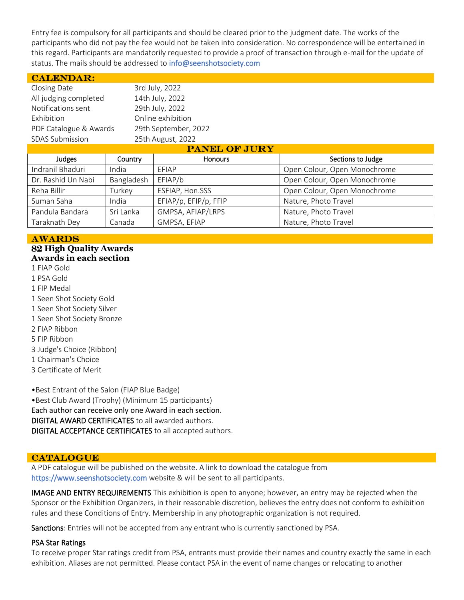Entry fee is compulsory for all participants and should be cleared prior to the judgment date. The works of the participants who did not pay the fee would not be taken into consideration. No correspondence will be entertained in this regard. Participants are mandatorily requested to provide a proof of transaction through e-mail for the update of status. The mails should be addressed to info@seenshotsociety.com

| <b>CALENDAR:</b>                               |            |                       |                              |  |  |
|------------------------------------------------|------------|-----------------------|------------------------------|--|--|
| Closing Date                                   |            | 3rd July, 2022        |                              |  |  |
| All judging completed                          |            | 14th July, 2022       |                              |  |  |
| Notifications sent                             |            | 29th July, 2022       |                              |  |  |
| Exhibition                                     |            | Online exhibition     |                              |  |  |
| 29th September, 2022<br>PDF Catalogue & Awards |            |                       |                              |  |  |
| <b>SDAS Submission</b>                         |            | 25th August, 2022     |                              |  |  |
| <b>PANEL OF JURY</b>                           |            |                       |                              |  |  |
| Judges                                         | Country    | Honours               | Sections to Judge            |  |  |
| Indranil Bhaduri                               | India      | EFIAP                 | Open Colour, Open Monochrome |  |  |
| Dr. Rashid Un Nabi                             | Bangladesh | EFIAP/b               | Open Colour, Open Monochrome |  |  |
| Reha Billir                                    | Turkey     | ESFIAP, Hon.SSS       | Open Colour, Open Monochrome |  |  |
| Suman Saha                                     | India      | EFIAP/p, EFIP/p, FFIP | Nature, Photo Travel         |  |  |

Pandula Bandara | Sri Lanka | GMPSA, AFIAP/LRPS | Nature, Photo Travel Taraknath Dey | Canada | GMPSA, EFIAP | Nature, Photo Travel

#### AWARDS 82 **High Quality Awards Awards in each section**

- 1 FIAP Gold
- 1 PSA Gold
- 1 FIP Medal
- 1 Seen Shot Society Gold
- 1 Seen Shot Society Silver
- 1 Seen Shot Society Bronze
- 2 FIAP Ribbon
- 5 FIP Ribbon
- 3 Judge's Choice (Ribbon)
- 1 Chairman's Choice
- 3 Certificate of Merit

•Best Entrant of the Salon (FIAP Blue Badge) •Best Club Award (Trophy) (Minimum 15 participants) Each author can receive only one Award in each section. DIGITAL AWARD CERTIFICATES to all awarded authors. DIGITAL ACCEPTANCE CERTIFICATES to all accepted authors.

#### **CATALOGUE**

A PDF catalogue will be published on the website. A link to download the catalogue from https://www.seenshotsociety.com website & will be sent to all participants.

IMAGE AND ENTRY REQUIREMENTS This exhibition is open to anyone; however, an entry may be rejected when the Sponsor or the Exhibition Organizers, in their reasonable discretion, believes the entry does not conform to exhibition rules and these Conditions of Entry. Membership in any photographic organization is not required.

Sanctions: Entries will not be accepted from any entrant who is currently sanctioned by PSA.

#### PSA Star Ratings

To receive proper Star ratings credit from PSA, entrants must provide their names and country exactly the same in each exhibition. Aliases are not permitted. Please contact PSA in the event of name changes or relocating to another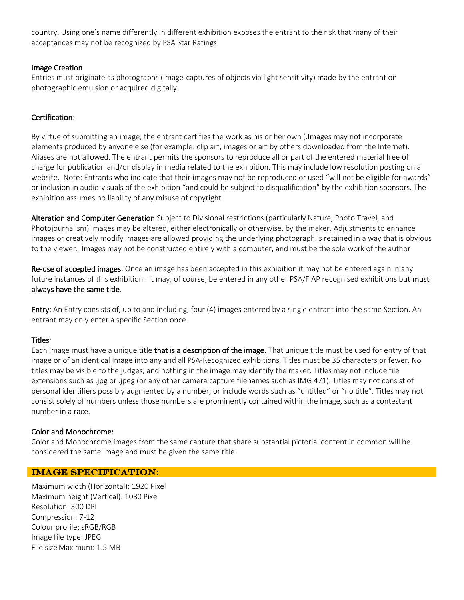country. Using one's name differently in different exhibition exposes the entrant to the risk that many of their acceptances may not be recognized by PSA Star Ratings

## Image Creation

Entries must originate as photographs (image-captures of objects via light sensitivity) made by the entrant on photographic emulsion or acquired digitally.

## Certification:

By virtue of submitting an image, the entrant certifies the work as his or her own (.Images may not incorporate elements produced by anyone else (for example: clip art, images or art by others downloaded from the Internet). Aliases are not allowed. The entrant permits the sponsors to reproduce all or part of the entered material free of charge for publication and/or display in media related to the exhibition. This may include low resolution posting on a website. Note: Entrants who indicate that their images may not be reproduced or used "will not be eligible for awards" or inclusion in audio-visuals of the exhibition "and could be subject to disqualification" by the exhibition sponsors. The exhibition assumes no liability of any misuse of copyright

Alteration and Computer Generation Subject to Divisional restrictions (particularly Nature, Photo Travel, and Photojournalism) images may be altered, either electronically or otherwise, by the maker. Adjustments to enhance images or creatively modify images are allowed providing the underlying photograph is retained in a way that is obvious to the viewer. Images may not be constructed entirely with a computer, and must be the sole work of the author

Re-use of accepted images: Once an image has been accepted in this exhibition it may not be entered again in any future instances of this exhibition. It may, of course, be entered in any other PSA/FIAP recognised exhibitions but must always have the same title.

**Entry**: An Entry consists of, up to and including, four (4) images entered by a single entrant into the same Section. An entrant may only enter a specific Section once.

## Titles:

Each image must have a unique title that is a description of the image. That unique title must be used for entry of that image or of an identical Image into any and all PSA-Recognized exhibitions. Titles must be 35 characters or fewer. No titles may be visible to the judges, and nothing in the image may identify the maker. Titles may not include file extensions such as .jpg or .jpeg (or any other camera capture filenames such as IMG 471). Titles may not consist of personal identifiers possibly augmented by a number; or include words such as "untitled" or "no title". Titles may not consist solely of numbers unless those numbers are prominently contained within the image, such as a contestant number in a race.

## Color and Monochrome:

Color and Monochrome images from the same capture that share substantial pictorial content in common will be considered the same image and must be given the same title.

## IMAGE SPECIFICATION:

Maximum width (Horizontal): 1920 Pixel Maximum height (Vertical): 1080 Pixel Resolution: 300 DPI Compression: 7-12 Colour profile: sRGB/RGB Image file type: JPEG File size Maximum: 1.5 MB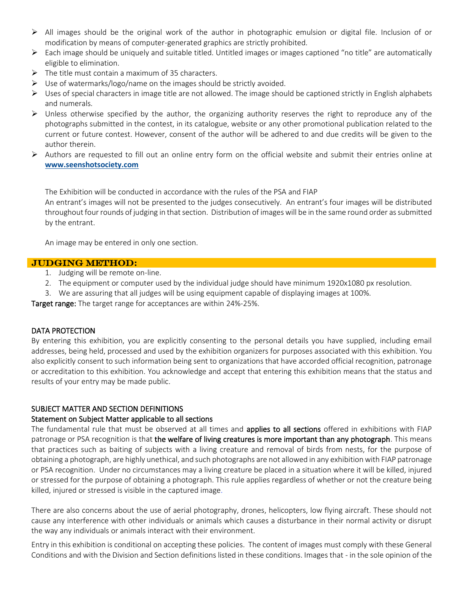- ➢ All images should be the original work of the author in photographic emulsion or digital file. Inclusion of or modification by means of computer-generated graphics are strictly prohibited.
- ➢ Each image should be uniquely and suitable titled. Untitled images or images captioned "no title" are automatically eligible to elimination.
- $\triangleright$  The title must contain a maximum of 35 characters.
- ➢ Use of watermarks/logo/name on the images should be strictly avoided.
- $\triangleright$  Uses of special characters in image title are not allowed. The image should be captioned strictly in English alphabets and numerals.
- $\triangleright$  Unless otherwise specified by the author, the organizing authority reserves the right to reproduce any of the photographs submitted in the contest, in its catalogue, website or any other promotional publication related to the current or future contest. However, consent of the author will be adhered to and due credits will be given to the author therein.
- ➢ Authors are requested to fill out an online entry form on the official website and submit their entries online at **[www.seenshotsociety.com](http://www.seenshotsociety.com/)**

The Exhibition will be conducted in accordance with the rules of the PSA and FIAP

An entrant's images will not be presented to the judges consecutively. An entrant's four images will be distributed throughout four rounds of judging in that section. Distribution of images will be in the same round order as submitted by the entrant.

An image may be entered in only one section.

#### JUDGING METHOD:

- 1. Judging will be remote on-line.
- 2. The equipment or computer used by the individual judge should have minimum 1920x1080 px resolution.
- 3. We are assuring that all judges will be using equipment capable of displaying images at 100%.

Target range: The target range for acceptances are within 24%-25%.

#### DATA PROTECTION

By entering this exhibition, you are explicitly consenting to the personal details you have supplied, including email addresses, being held, processed and used by the exhibition organizers for purposes associated with this exhibition. You also explicitly consent to such information being sent to organizations that have accorded official recognition, patronage or accreditation to this exhibition. You acknowledge and accept that entering this exhibition means that the status and results of your entry may be made public.

#### SUBJECT MATTER AND SECTION DEFINITIONS

#### Statement on Subject Matter applicable to all sections

The fundamental rule that must be observed at all times and applies to all sections offered in exhibitions with FIAP patronage or PSA recognition is that the welfare of living creatures is more important than any photograph. This means that practices such as baiting of subjects with a living creature and removal of birds from nests, for the purpose of obtaining a photograph, are highly unethical, and such photographs are not allowed in any exhibition with FIAP patronage or PSA recognition. Under no circumstances may a living creature be placed in a situation where it will be killed, injured or stressed for the purpose of obtaining a photograph. This rule applies regardless of whether or not the creature being killed, injured or stressed is visible in the captured image.

There are also concerns about the use of aerial photography, drones, helicopters, low flying aircraft. These should not cause any interference with other individuals or animals which causes a disturbance in their normal activity or disrupt the way any individuals or animals interact with their environment.

Entry in this exhibition is conditional on accepting these policies. The content of images must comply with these General Conditions and with the Division and Section definitions listed in these conditions. Images that - in the sole opinion of the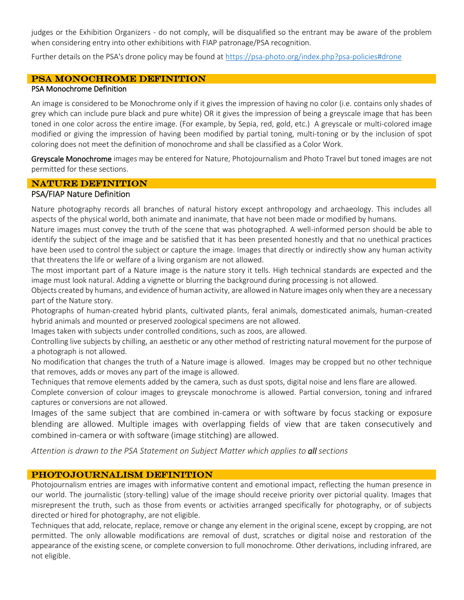judges or the Exhibition Organizers - do not comply, will be disqualified so the entrant may be aware of the problem when considering entry into other exhibitions with FIAP patronage/PSA recognition.

Further details on the PSA's drone policy may be found a[t https://psa-photo.org/index.php?psa-policies#drone](https://psa-photo.org/index.php?psa-policies%23drone)

## PSA MONOCHROME DEFINITION

#### PSA Monochrome Definition

An image is considered to be Monochrome only if it gives the impression of having no color (i.e. contains only shades of grey which can include pure black and pure white) OR it gives the impression of being a greyscale image that has been toned in one color across the entire image. (For example, by Sepia, red, gold, etc.) A greyscale or multi-colored image modified or giving the impression of having been modified by partial toning, multi-toning or by the inclusion of spot coloring does not meet the definition of monochrome and shall be classified as a Color Work.

Greyscale Monochrome images may be entered for Nature, Photojournalism and Photo Travel but toned images are not permitted for these sections.

### **NATURE DEFINITION**

# PSA/FIAP Nature Definition

Nature photography records all branches of natural history except anthropology and archaeology. This includes all aspects of the physical world, both animate and inanimate, that have not been made or modified by humans.

Nature images must convey the truth of the scene that was photographed. A well-informed person should be able to identify the subject of the image and be satisfied that it has been presented honestly and that no unethical practices have been used to control the subject or capture the image. Images that directly or indirectly show any human activity that threatens the life or welfare of a living organism are not allowed.

The most important part of a Nature image is the nature story it tells. High technical standards are expected and the image must look natural. Adding a vignette or blurring the background during processing is not allowed.

Objects created by humans, and evidence of human activity, are allowed in Nature images only when they are a necessary part of the Nature story.

Photographs of human-created hybrid plants, cultivated plants, feral animals, domesticated animals, human-created hybrid animals and mounted or preserved zoological specimens are not allowed.

Images taken with subjects under controlled conditions, such as zoos, are allowed.

Controlling live subjects by chilling, an aesthetic or any other method of restricting natural movement for the purpose of a photograph is not allowed.

No modification that changes the truth of a Nature image is allowed. Images may be cropped but no other technique that removes, adds or moves any part of the image is allowed.

Techniques that remove elements added by the camera, such as dust spots, digital noise and lens flare are allowed.

Complete conversion of colour images to greyscale monochrome is allowed. Partial conversion, toning and infrared captures or conversions are not allowed.

Images of the same subject that are combined in-camera or with software by focus stacking or exposure blending are allowed. Multiple images with overlapping fields of view that are taken consecutively and combined in-camera or with software (image stitching) are allowed.

*Attention is drawn to the PSA Statement on Subject Matter which applies to all sections*

## PHOTOJOURNALISM DEFINITION

Photojournalism entries are images with informative content and emotional impact, reflecting the human presence in our world. The journalistic (story-telling) value of the image should receive priority over pictorial quality. Images that misrepresent the truth, such as those from events or activities arranged specifically for photography, or of subjects directed or hired for photography, are not eligible.

Techniques that add, relocate, replace, remove or change any element in the original scene, except by cropping, are not permitted. The only allowable modifications are removal of dust, scratches or digital noise and restoration of the appearance of the existing scene, or complete conversion to full monochrome. Other derivations, including infrared, are not eligible.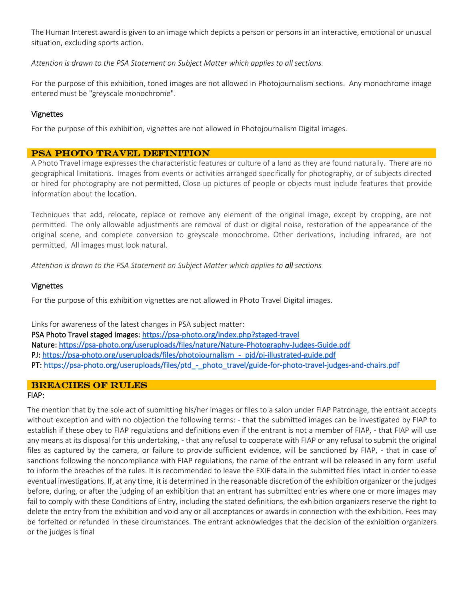The Human Interest award is given to an image which depicts a person or persons in an interactive, emotional or unusual situation, excluding sports action.

*Attention is drawn to the PSA Statement on Subject Matter which applies to all sections.*

For the purpose of this exhibition, toned images are not allowed in Photojournalism sections. Any monochrome image entered must be "greyscale monochrome".

### Vignettes

For the purpose of this exhibition, vignettes are not allowed in Photojournalism Digital images.

## PSA PHOTO TRAVEL DEFINITION

A Photo Travel image expresses the characteristic features or culture of a land as they are found naturally. There are no geographical limitations. Images from events or activities arranged specifically for photography, or of subjects directed or hired for photography are not permitted. Close up pictures of people or objects must include features that provide information about the location.

Techniques that add, relocate, replace or remove any element of the original image, except by cropping, are not permitted. The only allowable adjustments are removal of dust or digital noise, restoration of the appearance of the original scene, and complete conversion to greyscale monochrome. Other derivations, including infrared, are not permitted. All images must look natural.

*Attention is drawn to the PSA Statement on Subject Matter which applies to all sections*

#### Vignettes

For the purpose of this exhibition vignettes are not allowed in Photo Travel Digital images.

Links for awareness of the latest changes in PSA subject matter: PSA Photo Travel staged images[: https://psa-photo.org/index.php?staged-travel](https://psa-photo.org/index.php?staged-travel)  Nature[: https://psa-photo.org/useruploads/files/nature/Nature-Photography-Judges-Guide.pdf](https://psa-photo.org/useruploads/files/nature/Nature-Photography-Judges-Guide.pdf)  PJ: [https://psa-photo.org/useruploads/files/photojournalism\\_-\\_pjd/pj-illustrated-guide.pdf](https://psa-photo.org/useruploads/files/photojournalism_-_pjd/pj-illustrated-guide.pdf)  PT[: https://psa-photo.org/useruploads/files/ptd\\_-\\_photo\\_travel/guide-for-photo-travel-judges-and-chairs.pdf](https://psa-photo.org/useruploads/files/ptd_-_photo_travel/guide-for-photo-travel-judges-and-chairs.pdf) 

## Breaches of Rules

#### FIAP:

The mention that by the sole act of submitting his/her images or files to a salon under FIAP Patronage, the entrant accepts without exception and with no objection the following terms: - that the submitted images can be investigated by FIAP to establish if these obey to FIAP regulations and definitions even if the entrant is not a member of FIAP, - that FIAP will use any means at its disposal for this undertaking, - that any refusal to cooperate with FIAP or any refusal to submit the original files as captured by the camera, or failure to provide sufficient evidence, will be sanctioned by FIAP, - that in case of sanctions following the noncompliance with FIAP regulations, the name of the entrant will be released in any form useful to inform the breaches of the rules. It is recommended to leave the EXIF data in the submitted files intact in order to ease eventual investigations. If, at any time, it is determined in the reasonable discretion of the exhibition organizer or the judges before, during, or after the judging of an exhibition that an entrant has submitted entries where one or more images may fail to comply with these Conditions of Entry, including the stated definitions, the exhibition organizers reserve the right to delete the entry from the exhibition and void any or all acceptances or awards in connection with the exhibition. Fees may be forfeited or refunded in these circumstances. The entrant acknowledges that the decision of the exhibition organizers or the judges is final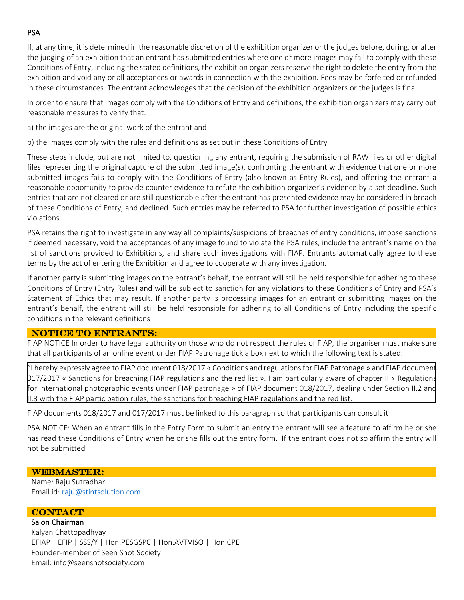## **PSA**

If, at any time, it is determined in the reasonable discretion of the exhibition organizer or the judges before, during, or after the judging of an exhibition that an entrant has submitted entries where one or more images may fail to comply with these Conditions of Entry, including the stated definitions, the exhibition organizers reserve the right to delete the entry from the exhibition and void any or all acceptances or awards in connection with the exhibition. Fees may be forfeited or refunded in these circumstances. The entrant acknowledges that the decision of the exhibition organizers or the judges is final

In order to ensure that images comply with the Conditions of Entry and definitions, the exhibition organizers may carry out reasonable measures to verify that:

a) the images are the original work of the entrant and

b) the images comply with the rules and definitions as set out in these Conditions of Entry

These steps include, but are not limited to, questioning any entrant, requiring the submission of RAW files or other digital files representing the original capture of the submitted image(s), confronting the entrant with evidence that one or more submitted images fails to comply with the Conditions of Entry (also known as Entry Rules), and offering the entrant a reasonable opportunity to provide counter evidence to refute the exhibition organizer's evidence by a set deadline. Such entries that are not cleared or are still questionable after the entrant has presented evidence may be considered in breach of these Conditions of Entry, and declined. Such entries may be referred to PSA for further investigation of possible ethics violations

PSA retains the right to investigate in any way all complaints/suspicions of breaches of entry conditions, impose sanctions if deemed necessary, void the acceptances of any image found to violate the PSA rules, include the entrant's name on the list of sanctions provided to Exhibitions, and share such investigations with FIAP. Entrants automatically agree to these terms by the act of entering the Exhibition and agree to cooperate with any investigation.

If another party is submitting images on the entrant's behalf, the entrant will still be held responsible for adhering to these Conditions of Entry (Entry Rules) and will be subject to sanction for any violations to these Conditions of Entry and PSA's Statement of Ethics that may result. If another party is processing images for an entrant or submitting images on the entrant's behalf, the entrant will still be held responsible for adhering to all Conditions of Entry including the specific conditions in the relevant definitions

#### NOTICE TO ENTRANTS:

FIAP NOTICE In order to have legal authority on those who do not respect the rules of FIAP, the organiser must make sure that all participants of an online event under FIAP Patronage tick a box next to which the following text is stated:

"I hereby expressly agree to FIAP document 018/2017 « Conditions and regulations for FIAP Patronage » and FIAP document 017/2017 « Sanctions for breaching FIAP regulations and the red list ». I am particularly aware of chapter II « Regulations for International photographic events under FIAP patronage » of FIAP document 018/2017, dealing under Section II.2 and II.3 with the FIAP participation rules, the sanctions for breaching FIAP regulations and the red list.

FIAP documents 018/2017 and 017/2017 must be linked to this paragraph so that participants can consult it

PSA NOTICE: When an entrant fills in the Entry Form to submit an entry the entrant will see a feature to affirm he or she has read these Conditions of Entry when he or she fills out the entry form. If the entrant does not so affirm the entry will not be submitted

#### WEBMASTER:

Name: Raju Sutradhar Email id[: raju@stintsolution.com](mailto:raju@stintsolution.com)

## **CONTACT**

Salon Chairman Kalyan Chattopadhyay EFIAP | EFIP | SSS/Y | Hon.PESGSPC | Hon.AVTVISO | Hon.CPE Founder-member of Seen Shot Society Email: info@seenshotsociety.com